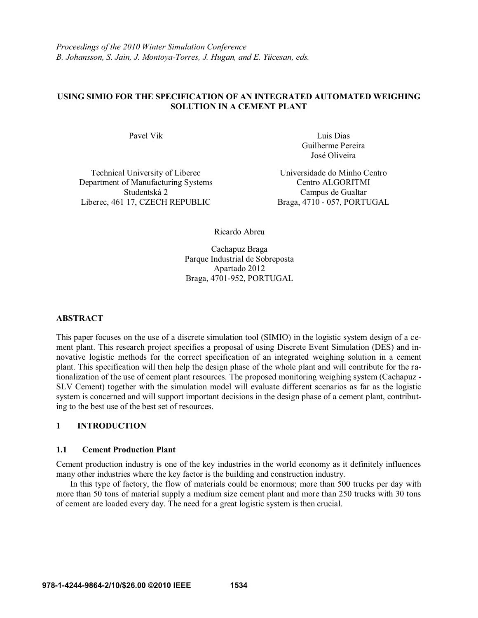## **USING SIMIO FOR THE SPECIFICATION OF AN INTEGRATED AUTOMATED WEIGHING SOLUTION IN A CEMENT PLANT**

Technical University of Liberec Department of Manufacturing Systems Liberec, 461 17, CZECH REPUBLIC

Pavel Vik Luis Dias Guilherme Pereira José Oliveira

Universidade do Minho Centro Centro ALGORITMI Studentská 2<br>
17, CZECH REPUBLIC Braga, 4710 - 057, PORTUGAL

Ricardo Abreu

Cachapuz Braga Parque Industrial de Sobreposta Apartado 2012 Braga, 4701-952, PORTUGAL

## **ABSTRACT**

This paper focuses on the use of a discrete simulation tool (SIMIO) in the logistic system design of a cement plant. This research project specifies a proposal of using Discrete Event Simulation (DES) and innovative logistic methods for the correct specification of an integrated weighing solution in a cement plant. This specification will then help the design phase of the whole plant and will contribute for the rationalization of the use of cement plant resources. The proposed monitoring weighing system (Cachapuz - SLV Cement) together with the simulation model will evaluate different scenarios as far as the logistic system is concerned and will support important decisions in the design phase of a cement plant, contributing to the best use of the best set of resources.

### **1 INTRODUCTION**

#### **1.1 Cement Production Plant**

Cement production industry is one of the key industries in the world economy as it definitely influences many other industries where the key factor is the building and construction industry.

In this type of factory, the flow of materials could be enormous; more than 500 trucks per day with more than 50 tons of material supply a medium size cement plant and more than 250 trucks with 30 tons of cement are loaded every day. The need for a great logistic system is then crucial.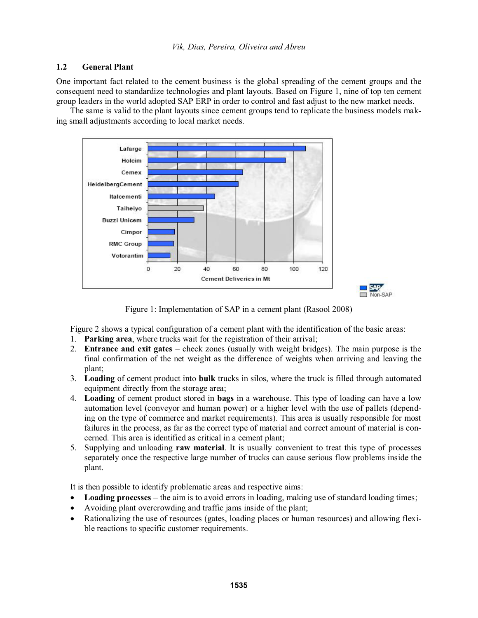# **1.2 General Plant**

One important fact related to the cement business is the global spreading of the cement groups and the consequent need to standardize technologies and plant layouts. Based on Figure 1, nine of top ten cement group leaders in the world adopted SAP ERP in order to control and fast adjust to the new market needs.

The same is valid to the plant layouts since cement groups tend to replicate the business models making small adjustments according to local market needs.





Figure 1: Implementation of SAP in a cement plant (Rasool 2008)

Figure 2 shows a typical configuration of a cement plant with the identification of the basic areas:

- 1. **Parking area**, where trucks wait for the registration of their arrival;
- 2. **Entrance and exit gates** check zones (usually with weight bridges). The main purpose is the final confirmation of the net weight as the difference of weights when arriving and leaving the plant;
- 3. **Loading** of cement product into **bulk** trucks in silos, where the truck is filled through automated equipment directly from the storage area;
- 4. **Loading** of cement product stored in **bags** in a warehouse. This type of loading can have a low automation level (conveyor and human power) or a higher level with the use of pallets (depending on the type of commerce and market requirements). This area is usually responsible for most failures in the process, as far as the correct type of material and correct amount of material is concerned. This area is identified as critical in a cement plant;
- 5. Supplying and unloading **raw material**. It is usually convenient to treat this type of processes separately once the respective large number of trucks can cause serious flow problems inside the plant.

It is then possible to identify problematic areas and respective aims:

- $\bullet$ • Loading processes – the aim is to avoid errors in loading, making use of standard loading times;
- $\bullet$ Avoiding plant overcrowding and traffic jams inside of the plant;
- $\bullet$  Rationalizing the use of resources (gates, loading places or human resources) and allowing flexible reactions to specific customer requirements.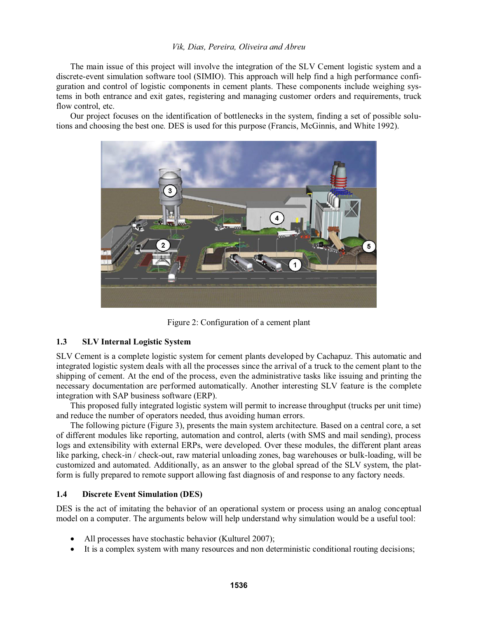The main issue of this project will involve the integration of the SLV Cement logistic system and a discrete-event simulation software tool (SIMIO). This approach will help find a high performance configuration and control of logistic components in cement plants. These components include weighing systems in both entrance and exit gates, registering and managing customer orders and requirements, truck flow control, etc.

Our project focuses on the identification of bottlenecks in the system, finding a set of possible solutions and choosing the best one. DES is used for this purpose (Francis, McGinnis, and White 1992).



Figure 2: Configuration of a cement plant

### **1.3 SLV Internal Logistic System**

SLV Cement is a complete logistic system for cement plants developed by Cachapuz. This automatic and integrated logistic system deals with all the processes since the arrival of a truck to the cement plant to the shipping of cement. At the end of the process, even the administrative tasks like issuing and printing the necessary documentation are performed automatically. Another interesting SLV feature is the complete integration with SAP business software (ERP).

This proposed fully integrated logistic system will permit to increase throughput (trucks per unit time) and reduce the number of operators needed, thus avoiding human errors.

The following picture (Figure 3), presents the main system architecture. Based on a central core, a set of different modules like reporting, automation and control, alerts (with SMS and mail sending), process logs and extensibility with external ERPs, were developed. Over these modules, the different plant areas like parking, check-in / check-out, raw material unloading zones, bag warehouses or bulk-loading, will be customized and automated. Additionally, as an answer to the global spread of the SLV system, the platform is fully prepared to remote support allowing fast diagnosis of and response to any factory needs.

# **1.4 Discrete Event Simulation (DES)**

DES is the act of imitating the behavior of an operational system or process using an analog conceptual model on a computer. The arguments below will help understand why simulation would be a useful tool:

- All processes have stochastic behavior (Kulturel 2007);
- It is a complex system with many resources and non deterministic conditional routing decisions;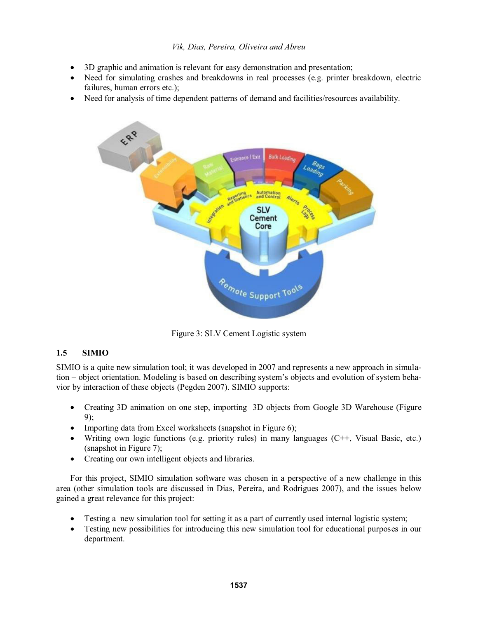- -3D graphic and animation is relevant for easy demonstration and presentation;
- Need for simulating crashes and breakdowns in real processes (e.g. printer breakdown, electric failures, human errors etc.);
- Need for analysis of time dependent patterns of demand and facilities/resources availability.



Figure 3: SLV Cement Logistic system

# **1.5 SIMIO**

SIMIO is a quite new simulation tool; it was developed in 2007 and represents a new approach in simulation – object orientation. Modeling is based on describing system's objects and evolution of system behavior by interaction of these objects (Pegden 2007). SIMIO supports:

- Creating 3D animation on one step, importing 3D objects from Google 3D Warehouse (Figure 9);
- Importing data from Excel worksheets (snapshot in Figure 6);
- Writing own logic functions (e.g. priority rules) in many languages (C++, Visual Basic, etc.) (snapshot in Figure 7);
- $\bullet$ Creating our own intelligent objects and libraries.

 For this project, SIMIO simulation software was chosen in a perspective of a new challenge in this area (other simulation tools are discussed in Dias, Pereira, and Rodrigues 2007), and the issues below gained a great relevance for this project:

- $\bullet$ Testing a new simulation tool for setting it as a part of currently used internal logistic system;
- - Testing new possibilities for introducing this new simulation tool for educational purposes in our department.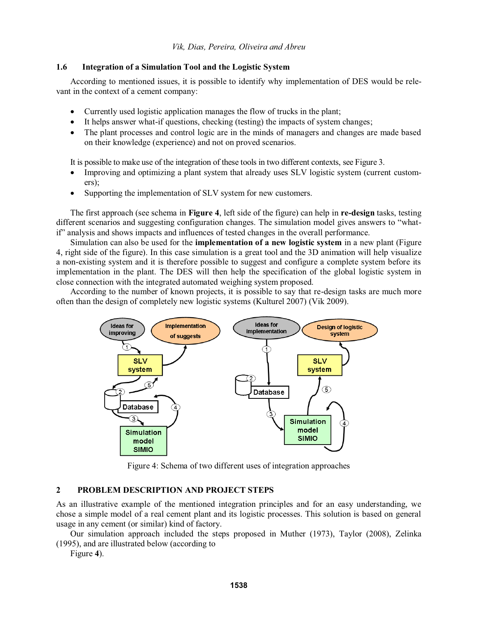#### **1.6 Integration of a Simulation Tool and the Logistic System**

According to mentioned issues, it is possible to identify why implementation of DES would be relevant in the context of a cement company:

- $\bullet$ Currently used logistic application manages the flow of trucks in the plant;
- $\bullet$ It helps answer what-if questions, checking (testing) the impacts of system changes;
- $\bullet$  The plant processes and control logic are in the minds of managers and changes are made based on their knowledge (experience) and not on proved scenarios.

It is possible to make use of the integration of these tools in two different contexts, see Figure 3.

- - Improving and optimizing a plant system that already uses SLV logistic system (current customers);
- $\bullet$ Supporting the implementation of SLV system for new customers.

The first approach (see schema in **Figure 4**, left side of the figure) can help in **re-design** tasks, testing different scenarios and suggesting configuration changes. The simulation model gives answers to "whatif" analysis and shows impacts and influences of tested changes in the overall performance.

Simulation can also be used for the **implementation of a new logistic system** in a new plant (Figure 4, right side of the figure). In this case simulation is a great tool and the 3D animation will help visualize a non-existing system and it is therefore possible to suggest and configure a complete system before its implementation in the plant. The DES will then help the specification of the global logistic system in close connection with the integrated automated weighing system proposed.

According to the number of known projects, it is possible to say that re-design tasks are much more often than the design of completely new logistic systems (Kulturel 2007) (Vik 2009).



Figure 4: Schema of two different uses of integration approaches

#### **2 PROBLEM DESCRIPTION AND PROJECT STEPS**

As an illustrative example of the mentioned integration principles and for an easy understanding, we chose a simple model of a real cement plant and its logistic processes. This solution is based on general usage in any cement (or similar) kind of factory.

Our simulation approach included the steps proposed in Muther (1973), Taylor (2008), Zelinka (1995), and are illustrated below (according to

Figure **4**).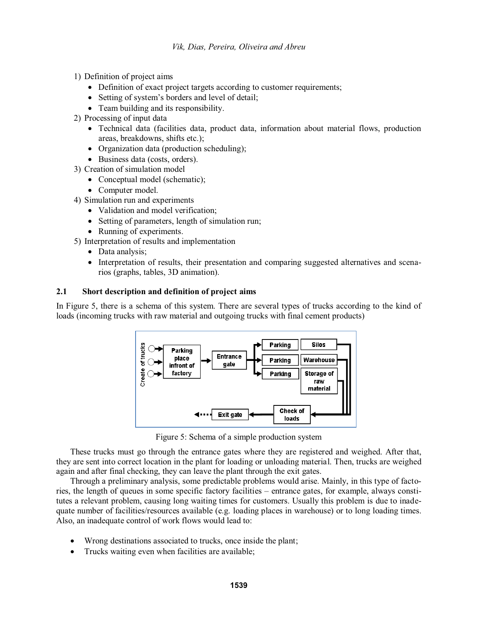- 1) Definition of project aims
	- Definition of exact project targets according to customer requirements;
	- Setting of system's borders and level of detail;
	- Team building and its responsibility.
- 2) Processing of input data
	- Technical data (facilities data, product data, information about material flows, production areas, breakdowns, shifts etc.);
	- Organization data (production scheduling);
	- Business data (costs, orders).
- 3) Creation of simulation model
	- Conceptual model (schematic);
	- Computer model.
- 4) Simulation run and experiments
	- Validation and model verification;
	- Setting of parameters, length of simulation run;
	- Running of experiments.
- 5) Interpretation of results and implementation
	- Data analysis;
	- Interpretation of results, their presentation and comparing suggested alternatives and scenarios (graphs, tables, 3D animation).

### **2.1 Short description and definition of project aims**

In Figure 5, there is a schema of this system. There are several types of trucks according to the kind of loads (incoming trucks with raw material and outgoing trucks with final cement products)



Figure 5: Schema of a simple production system

These trucks must go through the entrance gates where they are registered and weighed. After that, they are sent into correct location in the plant for loading or unloading material. Then, trucks are weighed again and after final checking, they can leave the plant through the exit gates.

Through a preliminary analysis, some predictable problems would arise. Mainly, in this type of factories, the length of queues in some specific factory facilities – entrance gates, for example, always constitutes a relevant problem, causing long waiting times for customers. Usually this problem is due to inadequate number of facilities/resources available (e.g. loading places in warehouse) or to long loading times. Also, an inadequate control of work flows would lead to:

- -Wrong destinations associated to trucks, once inside the plant;
- Trucks waiting even when facilities are available;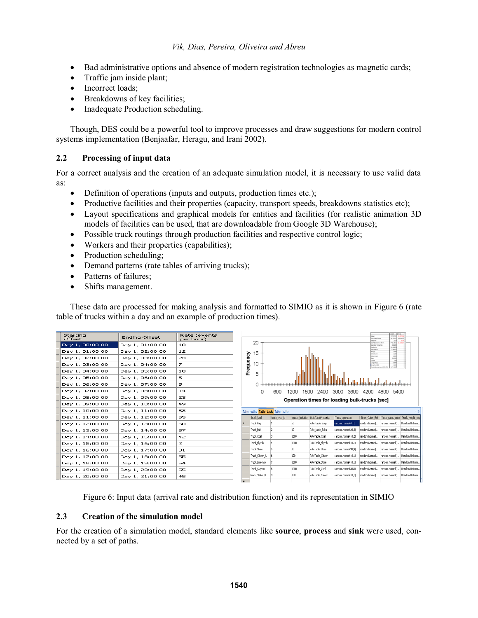- Bad administrative options and absence of modern registration technologies as magnetic cards;
- Traffic jam inside plant;
- Incorrect loads;
- Breakdowns of key facilities;
- $\bullet$ Inadequate Production scheduling.

Though, DES could be a powerful tool to improve processes and draw suggestions for modern control systems implementation (Benjaafar, Heragu, and Irani 2002).

### **2.2 Processing of input data**

For a correct analysis and the creation of an adequate simulation model, it is necessary to use valid data as:

- $\bullet$ Definition of operations (inputs and outputs, production times etc.);
- Productive facilities and their properties (capacity, transport speeds, breakdowns statistics etc);
- Layout specifications and graphical models for entities and facilities (for realistic animation 3D models of facilities can be used, that are downloadable from Google 3D Warehouse);
- Possible truck routings through production facilities and respective control logic;
- Workers and their properties (capabilities);
- Production scheduling;
- Demand patterns (rate tables of arriving trucks);
- $\bullet$ Patterns of failures;
- $\bullet$ Shifts management.

These data are processed for making analysis and formatted to SIMIO as it is shown in Figure 6 (rate table of trucks within a day and an example of production times).

| Starting<br>Offset | Ending Offset   | Rate (events<br>per hour) |   |                                               |               |              |                                     |                     |                                              | Tome!<br>54,53132                                | n ware                                                |
|--------------------|-----------------|---------------------------|---|-----------------------------------------------|---------------|--------------|-------------------------------------|---------------------|----------------------------------------------|--------------------------------------------------|-------------------------------------------------------|
| Day 1, 00:00:00    | Day 1, 01:00:00 | 10                        |   | 20                                            |               |              |                                     |                     |                                              | 41, 3545<br>16.94054                             | <b>Com</b>                                            |
| Day 1, 01:00:00    | Day 1, 02:00:00 | 12                        |   | 15                                            |               |              |                                     |                     |                                              | 2,8032                                           |                                                       |
| Day 1, 02:00:00    | Day 1, 03:00:00 | 23                        |   |                                               |               |              |                                     |                     |                                              | 713321                                           |                                                       |
| Day 1, 03:00:00    | Day 1, 04:00:00 | z.                        |   | 10                                            |               |              |                                     |                     |                                              |                                                  |                                                       |
| Day 1, 04:00:00    | Day 1, 05:00:00 | 10                        |   | Frequency<br>5                                |               |              |                                     |                     |                                              |                                                  |                                                       |
| Day 1, 05:00:00    | Day 1, 06:00:00 | 5                         |   |                                               |               |              |                                     |                     |                                              |                                                  |                                                       |
| Day 1, 06:00:00    | Day 1, 07:00:00 | 5                         |   |                                               |               |              |                                     |                     |                                              |                                                  |                                                       |
| Day 1, 07:00:00    | Day 1, 08:00:00 | 14                        |   | 0                                             | 600           | 1200<br>1800 | 2400                                | 3600<br>3000        | 4200                                         | 5400<br>4800                                     |                                                       |
| Day 1, 08:00:00    | Day 1, 09:00:00 | 23                        |   | Operation times for loading bulk-trucks [sec] |               |              |                                     |                     |                                              |                                                  |                                                       |
| Day 1, 09:00:00    | Day 1, 10:00:00 | 49                        |   |                                               |               |              |                                     |                     |                                              |                                                  |                                                       |
| Day 1, 10:00:00    | Day 1, 11:00:00 | 58                        |   | Table routing Table basic Table facility      |               |              |                                     |                     |                                              |                                                  |                                                       |
| Day 1, 11:00:00    | Day 1, 12:00:00 | 55                        |   | Track kind                                    | truck_type_id |              | queue limitation RateTableProperty1 | Times operation     |                                              |                                                  | Times Gates Exit   Times gates enter Truck weight exp |
| Day 1, 12:00:00    | Day 1, 13:00:00 | 50                        |   | Truck_Bag                                     |               | 50           | Rate_table_Bags                     | random.normal(4,1)  |                                              | random.Normal(   random.normal(   Random.Uniform |                                                       |
| Day 1, 13:00:00    | Day 1, 14:00:00 | 57                        |   | Truck_Bulk                                    |               | 10           | Rate_table_Bulks                    | random.normal(20,3) |                                              | random.Normal(  random.normal(  Random.Uniform   |                                                       |
| Day 1, 14:00:00    | Day 1, 15:00:00 | 42                        |   | Truck Coal                                    |               | 1000         | RateTable_Coal                      | random.normal(10,2) |                                              | random.Normal( random.normal( Random.Uniform     |                                                       |
| Day 1, 15:00:00    | Day 1, 16:00:00 | 2                         |   | Truck Flyash                                  |               | 1000         | RateTable Flyash                    | random.normal(10,1) |                                              | random.Normal( random.normal( Random.Uniform     |                                                       |
| Day 1, 16:00:00    | Day 1, 17:00:00 | 31                        |   | Truck Store                                   |               | 10           | RateTable Store                     | random.normal(30,9) |                                              | random.Normal(  random.normal(  Random.Uniform   |                                                       |
| Day 1, 17:00:00    | Day 1, 18:00:00 | 55                        |   | Truck Clinker A                               |               | 100          | RateTable Clinker                   | random.normal(10,1) |                                              | random.Normal( random.normal( Random.Uniform     |                                                       |
| Day 1, 18:00:00    | Day 1, 19:00:00 | 54                        |   | Truck Laterate                                |               | 1000         | RateTable Store                     | random.normal(10,1) |                                              | random.Normal( random.normal( Random.Uniform     |                                                       |
| Day 1, 19:00:00    | Day 1, 20:00:00 | 55                        |   | Truck_Gypson                                  |               | 1000         | RateTable_Coal                      | random.normal(30,5) |                                              | random.Normal( random.normal( Random.Uniform.    |                                                       |
| Day 1, 20:00:00    | Day 1, 21:00:00 | 48                        |   | truck Clinker B                               |               | 100          | RateTable Clinker                   | random.normal(10.1) | random.Normal( random.normal( Random.Uniform |                                                  |                                                       |
|                    |                 |                           | 学 |                                               |               |              |                                     |                     |                                              |                                                  |                                                       |

Figure 6: Input data (arrival rate and distribution function) and its representation in SIMIO

### **2.3 Creation of the simulation model**

For the creation of a simulation model, standard elements like **source**, **process** and **sink** were used, connected by a set of paths.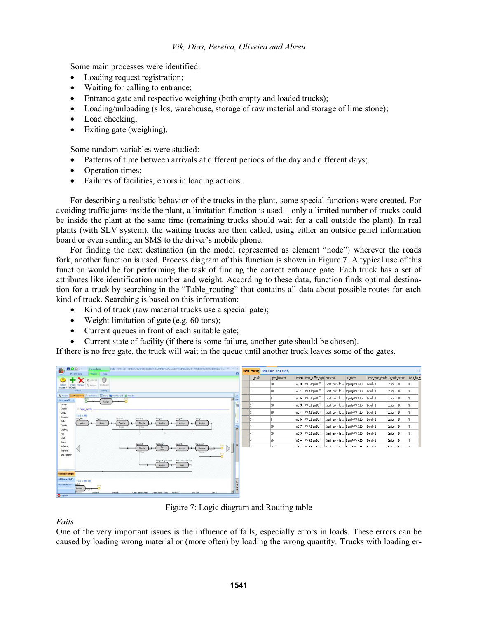Some main processes were identified:

- -Loading request registration;
- $\bullet$ Waiting for calling to entrance;
- $\bullet$ Entrance gate and respective weighing (both empty and loaded trucks);
- $\bullet$ Loading/unloading (silos, warehouse, storage of raw material and storage of lime stone);
- $\bullet$ Load checking;
- $\bullet$ Exiting gate (weighing).

Some random variables were studied:

- $\bullet$ Patterns of time between arrivals at different periods of the day and different days;
- $\bullet$ Operation times;
- -Failures of facilities, errors in loading actions.

 For describing a realistic behavior of the trucks in the plant, some special functions were created. For avoiding traffic jams inside the plant, a limitation function is used - only a limited number of trucks could be inside the plant at the same time (remaining trucks should wait for a call outside the plant). In real plants (with SLV system), the waiting trucks are then called, using either an outside panel information board or even sending an SMS to the driver's mobile phone.

For finding the next destination (in the model represented as element "node") wherever the roads fork, another function is used. Process diagram of this function is shown in Figure 7. A typical use of this function would be for performing the task of finding the correct entrance gate. Each truck has a set of attributes like identification number and weight. According to these data, function finds optimal destination for a truck by searching in the "Table\_routing" that contains all data about possible routes for each kind of truck. Searching is based on this information:

- $\bullet$ Kind of truck (raw material trucks use a special gate);
- $\bullet$ Weight limitation of gate (e.g. 60 tons);
- Current queues in front of each suitable gate;
- $\bullet$ Current state of facility (if there is some failure, another gate should be chosen).

If there is no free gate, the truck will wait in the queue until another truck leaves some of the gates.



Figure 7: Logic diagram and Routing table

*Fails* 

One of the very important issues is the influence of fails, especially errors in loads. These errors can be caused by loading wrong material or (more often) by loading the wrong quantity. Trucks with loading er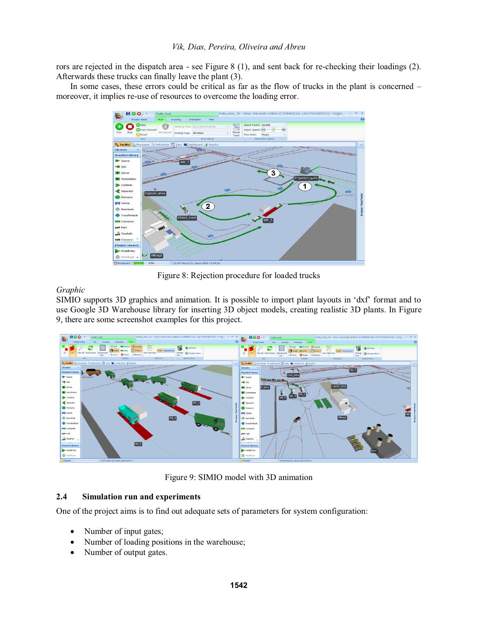rors are rejected in the dispatch area - see Figure 8 (1), and sent back for re-checking their loadings (2). Afterwards these trucks can finally leave the plant (3).

In some cases, these errors could be critical as far as the flow of trucks in the plant is concerned – moreover, it implies re-use of resources to overcome the loading error.



Figure 8: Rejection procedure for loaded trucks

# *Graphic*

SIMIO supports 3D graphics and animation. It is possible to import plant layouts in 'dxf' format and to use Google 3D Warehouse library for inserting 3D object models, creating realistic 3D plants. In Figure 9, there are some screenshot examples for this project.



Figure 9: SIMIO model with 3D animation

### **2.4 Simulation run and experiments**

One of the project aims is to find out adequate sets of parameters for system configuration:

- $\bullet$ Number of input gates;
- $\bullet$ Number of loading positions in the warehouse;
- $\bullet$ Number of output gates.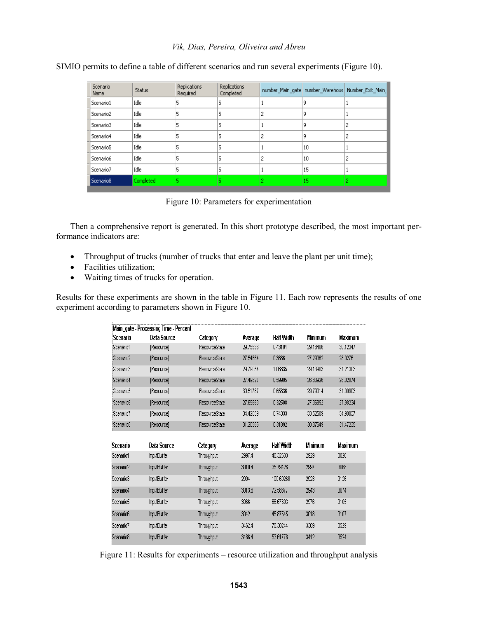| Scenario<br>Name      | <b>Status</b> | Replications<br>Required | Replications<br>Completed |   |    | number_Main_gate  number_Warehous  Number_Exit_Main |
|-----------------------|---------------|--------------------------|---------------------------|---|----|-----------------------------------------------------|
| Scenario1             | Idle          | 5                        | 5                         |   | 9  |                                                     |
| Scenario <sub>2</sub> | Idle          | 5                        | 5                         | 2 | 9  |                                                     |
| Scenario3             | Idle          | 5                        | 5                         |   | 9  | 2                                                   |
| Scenario4             | Idle          | 5                        | 5                         | 2 | 9  | 2                                                   |
| Scenario5             | Idle          | 5                        | 5                         |   | 10 |                                                     |
| Scenario6             | Idle          | 5                        | 5                         | 2 | 10 | 2                                                   |
| Scenario7             | Idle          | 5                        | 5                         |   | 15 |                                                     |
| Scenario8             | Completed     | 5                        |                           |   | 15 |                                                     |

SIMIO permits to define a table of different scenarios and run several experiments (Figure 10).

Figure 10: Parameters for experimentation

 Then a comprehensive report is generated. In this short prototype described, the most important performance indicators are:

- Throughput of trucks (number of trucks that enter and leave the plant per unit time);
- Facilities utilization;
- Waiting times of trucks for operation.

Results for these experiments are shown in the table in Figure 11. Each row represents the results of one experiment according to parameters shown in Figure 10.

|           | Main_gate - Processing Time - Percent |               |          |            |          |          |
|-----------|---------------------------------------|---------------|----------|------------|----------|----------|
| Scenario  | Data Source                           | Category      | Average  | Half Width | Minimum  | Maximum  |
| Scenario1 | [Resource]                            | ResourceState | 29.75536 | 0.43101    | 29.18406 | 30.12347 |
| Scenario2 | [Resource]                            | ResourceState | 27.54864 | 0.3666     | 27.29362 | 28.0276  |
| Scenario3 | [Resource]                            | ResourceState | 29.79054 | 1.06835    | 29.13903 | 31.21303 |
| Scenario4 | [Resource]                            | ResourceState | 27.49827 | 0.59905    | 26.83926 | 28.02074 |
| Scenario5 | [Resource]                            | ResourceState | 30.51787 | 0.65836    | 29.79014 | 31.00903 |
| Scenario6 | [Resource]                            | ResourceState | 27.69663 | 0.32508    | 27.36852 | 27.98234 |
| Scenario7 | [Resource]                            | ResourceState | 34.42859 | 0.74333    | 33.52589 | 34.98037 |
| Scenario8 | [Resource]                            | ResourceState | 31.20565 | 0.31892    | 30.87649 | 31.47235 |
|           |                                       |               |          |            |          |          |
| Scenario  | Data Source                           | Category      | Average  | Half Width | Minimum  | Maximum  |
| Scenario1 | <b>InputBuffer</b>                    | Throughput    | 2997.4   | 48.32633   | 2929     | 3020     |
| Scenario2 | <b>InputBuffer</b>                    | Throughput    | 3019.4   | 35.79426   | 2997     | 3068     |
| Scenario3 | <b>InputBuffer</b>                    | Throughput    | 2994     | 100.69268  | 2923     | 3126     |
| Scenario4 | <b>InputBuffer</b>                    | Throughput    | 3013.6   | 72.58377   | 2943     | 3074     |
| Scenario5 | <b>InputBuffer</b>                    | Throughput    | 3066     | 66.67603   | 2976     | 3105     |
| Scenario6 | <b>InputBuffer</b>                    | Throughput    | 3042     | 45.87545   | 3018     | 3107     |
| Scenario7 | <b>InputBuffer</b>                    | Throughput    | 3462.4   | 70.30244   | 3389     | 3529     |
| Scenario8 | <b>InputBuffer</b>                    | Throughput    | 3486.4   | 53.61778   | 3412     | 3524     |

Figure 11: Results for experiments – resource utilization and throughput analysis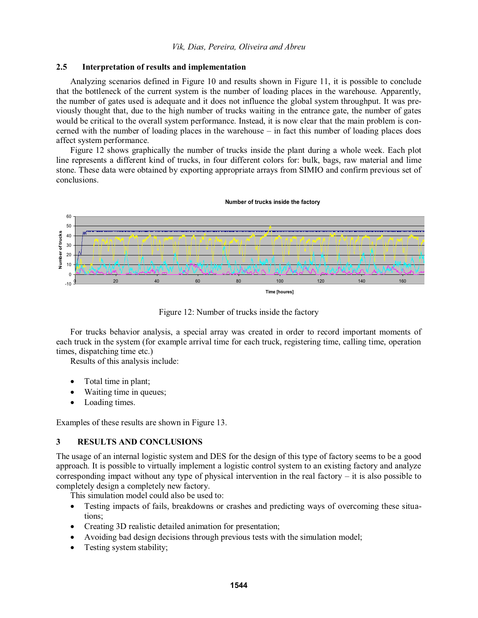### **2.5 Interpretation of results and implementation**

Analyzing scenarios defined in Figure 10 and results shown in Figure 11, it is possible to conclude that the bottleneck of the current system is the number of loading places in the warehouse. Apparently, the number of gates used is adequate and it does not influence the global system throughput. It was previously thought that, due to the high number of trucks waiting in the entrance gate, the number of gates would be critical to the overall system performance. Instead, it is now clear that the main problem is concerned with the number of loading places in the warehouse - in fact this number of loading places does affect system performance.

Figure 12 shows graphically the number of trucks inside the plant during a whole week. Each plot line represents a different kind of trucks, in four different colors for: bulk, bags, raw material and lime stone. These data were obtained by exporting appropriate arrays from SIMIO and confirm previous set of conclusions.



Figure 12: Number of trucks inside the factory

For trucks behavior analysis, a special array was created in order to record important moments of each truck in the system (for example arrival time for each truck, registering time, calling time, operation times, dispatching time etc.)

Results of this analysis include:

- $\bullet$ Total time in plant;
- $\bullet$ Waiting time in queues;
- $\bullet$ Loading times.

Examples of these results are shown in Figure 13.

# **3 RESULTS AND CONCLUSIONS**

The usage of an internal logistic system and DES for the design of this type of factory seems to be a good approach. It is possible to virtually implement a logistic control system to an existing factory and analyze corresponding impact without any type of physical intervention in the real factory - it is also possible to completely design a completely new factory.

This simulation model could also be used to:

- $\bullet$  Testing impacts of fails, breakdowns or crashes and predicting ways of overcoming these situations;
- Creating 3D realistic detailed animation for presentation;
- $\bullet$ Avoiding bad design decisions through previous tests with the simulation model;
- $\bullet$ Testing system stability;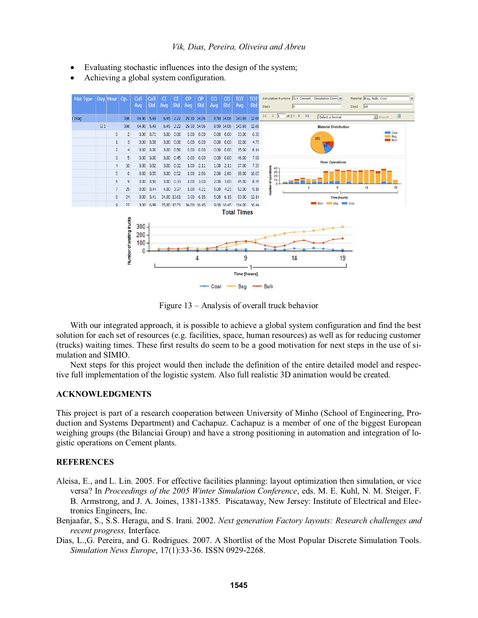- -Evaluating stochastic influences into the design of the system;
- -Achieving a global system configuration.



Figure 13 – Analysis of overall truck behavior

With our integrated approach, it is possible to achieve a global system configuration and find the best solution for each set of resources (e.g. facilities, space, human resources) as well as for reducing customer (trucks) waiting times. These first results do seem to be a good motivation for next steps in the use of simulation and SIMIO.

Next steps for this project would then include the definition of the entire detailed model and respective full implementation of the logistic system. Also full realistic 3D animation would be created.

#### **ACKNOWLEDGMENTS**

This project is part of a research cooperation between University of Minho (School of Engineering, Production and Systems Department) and Cachapuz. Cachapuz is a member of one of the biggest European weighing groups (the Bilanciai Group) and have a strong positioning in automation and integration of logistic operations on Cement plants.

#### **REFERENCES**

- Aleisa, E., and L. Lin. 2005. For effective facilities planning: layout optimization then simulation, or vice versa? In *Proceedings of the 2005 Winter Simulation Conference*, eds. M. E. Kuhl, N. M. Steiger, F. B. Armstrong, and J. A. Joines, 1381-1385. Piscataway, New Jersey: Institute of Electrical and Electronics Engineers, Inc.
- Benjaafar, S., S.S. Heragu, and S. Irani. 2002. *Next generation Factory layouts: Research challenges and recent progress,* Interface.
- Dias, L.,G. Pereira, and G. Rodrigues. 2007. A Shortlist of the Most Popular Discrete Simulation Tools. *Simulation News Europe*, 17(1):33-36. ISSN 0929-2268.